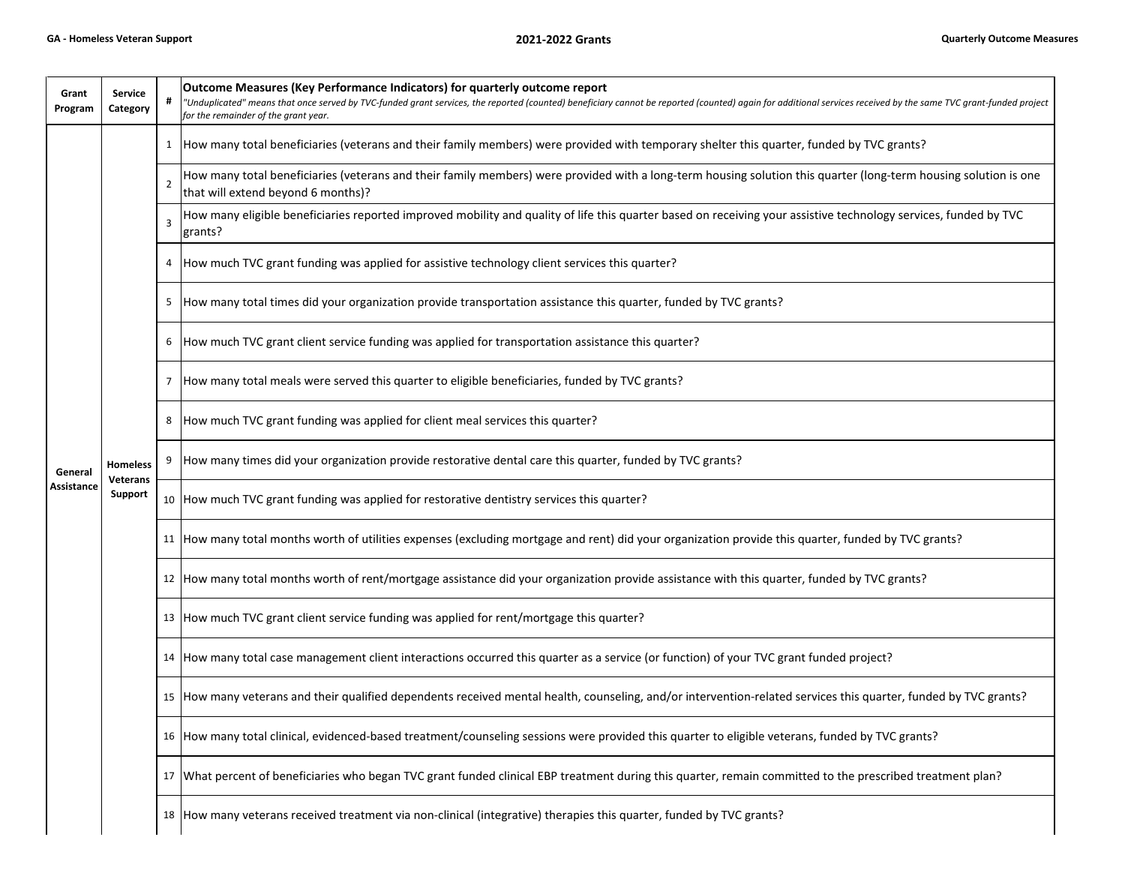| Grant<br>Program      | <b>Service</b><br>Category                    | #              | Outcome Measures (Key Performance Indicators) for quarterly outcome report<br>"Unduplicated" means that once served by TVC-funded grant services, the reported (counted) beneficiary cannot be reported (counted) again for additional services received by the same TVC grant-funded project<br>for the remainder of the grant year. |
|-----------------------|-----------------------------------------------|----------------|---------------------------------------------------------------------------------------------------------------------------------------------------------------------------------------------------------------------------------------------------------------------------------------------------------------------------------------|
| General<br>Assistance | <b>Homeless</b><br><b>Veterans</b><br>Support | 1              | How many total beneficiaries (veterans and their family members) were provided with temporary shelter this quarter, funded by TVC grants?                                                                                                                                                                                             |
|                       |                                               | $\overline{2}$ | How many total beneficiaries (veterans and their family members) were provided with a long-term housing solution this quarter (long-term housing solution is one<br>that will extend beyond 6 months)?                                                                                                                                |
|                       |                                               | 3              | How many eligible beneficiaries reported improved mobility and quality of life this quarter based on receiving your assistive technology services, funded by TVC<br>grants?                                                                                                                                                           |
|                       |                                               | 4              | How much TVC grant funding was applied for assistive technology client services this quarter?                                                                                                                                                                                                                                         |
|                       |                                               | 5              | How many total times did your organization provide transportation assistance this quarter, funded by TVC grants?                                                                                                                                                                                                                      |
|                       |                                               | 6              | How much TVC grant client service funding was applied for transportation assistance this quarter?                                                                                                                                                                                                                                     |
|                       |                                               | 7              | How many total meals were served this quarter to eligible beneficiaries, funded by TVC grants?                                                                                                                                                                                                                                        |
|                       |                                               | 8              | How much TVC grant funding was applied for client meal services this quarter?                                                                                                                                                                                                                                                         |
|                       |                                               | 9              | How many times did your organization provide restorative dental care this quarter, funded by TVC grants?                                                                                                                                                                                                                              |
|                       |                                               | 10             | How much TVC grant funding was applied for restorative dentistry services this quarter?                                                                                                                                                                                                                                               |
|                       |                                               |                | 11   How many total months worth of utilities expenses (excluding mortgage and rent) did your organization provide this quarter, funded by TVC grants?                                                                                                                                                                                |
|                       |                                               | 12             | How many total months worth of rent/mortgage assistance did your organization provide assistance with this quarter, funded by TVC grants?                                                                                                                                                                                             |
|                       |                                               | 13             | How much TVC grant client service funding was applied for rent/mortgage this quarter?                                                                                                                                                                                                                                                 |
|                       |                                               |                | 14   How many total case management client interactions occurred this quarter as a service (or function) of your TVC grant funded project?                                                                                                                                                                                            |
|                       |                                               | 15             | How many veterans and their qualified dependents received mental health, counseling, and/or intervention-related services this quarter, funded by TVC grants?                                                                                                                                                                         |
|                       |                                               |                | 16 How many total clinical, evidenced-based treatment/counseling sessions were provided this quarter to eligible veterans, funded by TVC grants?                                                                                                                                                                                      |
|                       |                                               |                | 17 What percent of beneficiaries who began TVC grant funded clinical EBP treatment during this quarter, remain committed to the prescribed treatment plan?                                                                                                                                                                            |
|                       |                                               | 18             | How many veterans received treatment via non-clinical (integrative) therapies this quarter, funded by TVC grants?                                                                                                                                                                                                                     |